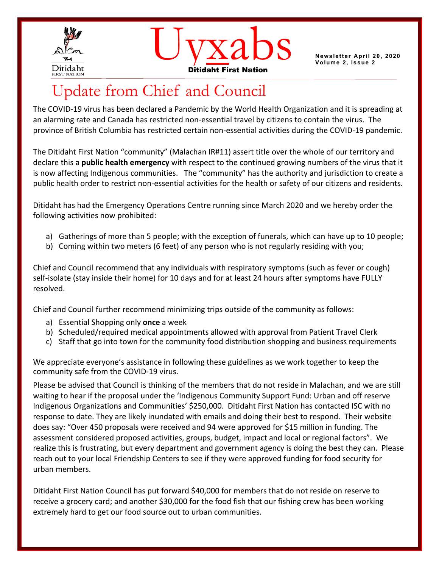



**Volume 2, Issue 2** 

# Update from Chief and Council

The COVID-19 virus has been declared a Pandemic by the World Health Organization and it is spreading at an alarming rate and Canada has restricted non-essential travel by citizens to contain the virus. The province of British Columbia has restricted certain non-essential activities during the COVID-19 pandemic.

The Ditidaht First Nation "community" (Malachan IR#11) assert title over the whole of our territory and declare this a **public health emergency** with respect to the continued growing numbers of the virus that it is now affecting Indigenous communities. The "community" has the authority and jurisdiction to create a public health order to restrict non-essential activities for the health or safety of our citizens and residents.

Ditidaht has had the Emergency Operations Centre running since March 2020 and we hereby order the following activities now prohibited:

- a) Gatherings of more than 5 people; with the exception of funerals, which can have up to 10 people;
- b) Coming within two meters (6 feet) of any person who is not regularly residing with you;

Chief and Council recommend that any individuals with respiratory symptoms (such as fever or cough) self-isolate (stay inside their home) for 10 days and for at least 24 hours after symptoms have FULLY resolved.

Chief and Council further recommend minimizing trips outside of the community as follows:

- a) Essential Shopping only **once** a week
- b) Scheduled/required medical appointments allowed with approval from Patient Travel Clerk
- c) Staff that go into town for the community food distribution shopping and business requirements

We appreciate everyone's assistance in following these guidelines as we work together to keep the community safe from the COVID-19 virus.

Please be advised that Council is thinking of the members that do not reside in Malachan, and we are still waiting to hear if the proposal under the 'Indigenous Community Support Fund: Urban and off reserve Indigenous Organizations and Communities' \$250,000. Ditidaht First Nation has contacted ISC with no response to date. They are likely inundated with emails and doing their best to respond. Their website does say: "Over 450 proposals were received and 94 were approved for \$15 million in funding. The assessment considered proposed activities, groups, budget, impact and local or regional factors". We realize this is frustrating, but every department and government agency is doing the best they can. Please reach out to your local Friendship Centers to see if they were approved funding for food security for urban members.

Ditidaht First Nation Council has put forward \$40,000 for members that do not reside on reserve to receive a grocery card; and another \$30,000 for the food fish that our fishing crew has been working extremely hard to get our food source out to urban communities.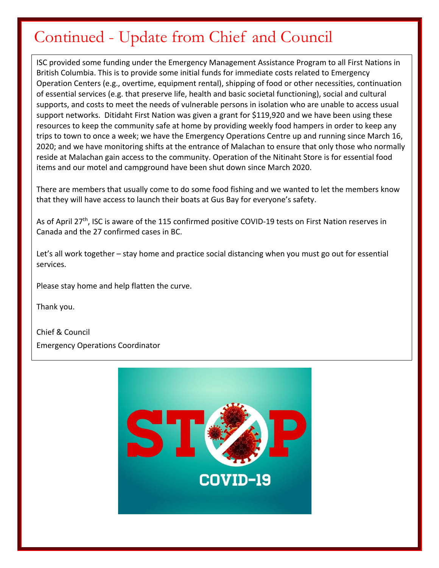# Continued - Update from Chief and Council

ISC provided some funding under the Emergency Management Assistance Program to all First Nations in British Columbia. This is to provide some initial funds for immediate costs related to Emergency Operation Centers (e.g., overtime, equipment rental), shipping of food or other necessities, continuation of essential services (e.g. that preserve life, health and basic societal functioning), social and cultural supports, and costs to meet the needs of vulnerable persons in isolation who are unable to access usual support networks. Ditidaht First Nation was given a grant for \$119,920 and we have been using these resources to keep the community safe at home by providing weekly food hampers in order to keep any trips to town to once a week; we have the Emergency Operations Centre up and running since March 16, 2020; and we have monitoring shifts at the entrance of Malachan to ensure that only those who normally reside at Malachan gain access to the community. Operation of the Nitinaht Store is for essential food items and our motel and campground have been shut down since March 2020.

There are members that usually come to do some food fishing and we wanted to let the members know that they will have access to launch their boats at Gus Bay for everyone's safety.

As of April 27<sup>th</sup>, ISC is aware of the 115 confirmed positive COVID-19 tests on First Nation reserves in Canada and the 27 confirmed cases in BC.

Let's all work together – stay home and practice social distancing when you must go out for essential services.

Please stay home and help flatten the curve.

Thank you.

Chief & Council Emergency Operations Coordinator

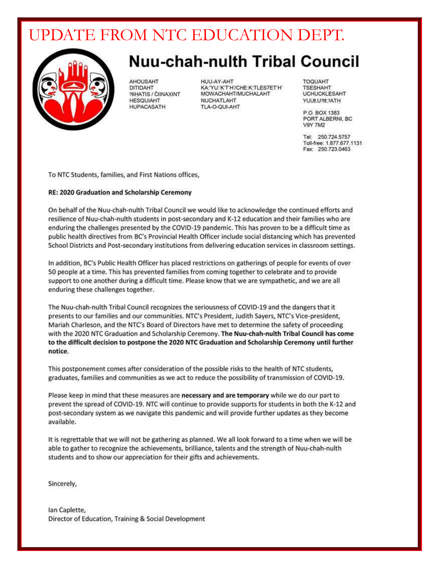# UPDATE FROM NTC EDUCATION DEPT.



# **Nuu-chah-nulth Tribal Council**

**AHOUSAHT** DITIDAHT **2IIHATIS / CIINAXINT HESQUIAHT HUPACASATH** 

HUU-AY-AHT KA: YU: 'K'T'H'/CHE: K: TLES7ET'H' MOWACHAHT/MUCHALAHT **NUCHATLAHT** TLA-O-QUI-AHT

**TOQUAHT TSESHAHT UCHUCKLESAHT** YUUt.U?It.?ATH

P.O. BOX 1383 PORT ALBERNI, BC **V9Y 7M2** 

Tel: 250.724.5757 Toll-free: 1.877.677.1131 Fax: 250.723.0463

To NTC Students, families, and First Nations offices,

#### RE: 2020 Graduation and Scholarship Ceremony

On behalf of the Nuu-chah-nulth Tribal Council we would like to acknowledge the continued efforts and resilience of Nuu-chah-nulth students in post-secondary and K-12 education and their families who are enduring the challenges presented by the COVID-19 pandemic. This has proven to be a difficult time as public health directives from BC's Provincial Health Officer include social distancing which has prevented School Districts and Post-secondary institutions from delivering education services in classroom settings.

In addition, BC's Public Health Officer has placed restrictions on gatherings of people for events of over 50 people at a time. This has prevented families from coming together to celebrate and to provide support to one another during a difficult time. Please know that we are sympathetic, and we are all enduring these challenges together.

The Nuu-chah-nulth Tribal Council recognizes the seriousness of COVID-19 and the dangers that it presents to our families and our communities. NTC's President, Judith Sayers, NTC's Vice-president, Mariah Charleson, and the NTC's Board of Directors have met to determine the safety of proceeding with the 2020 NTC Graduation and Scholarship Ceremony. The Nuu-chah-nulth Tribal Council has come to the difficult decision to postpone the 2020 NTC Graduation and Scholarship Ceremony until further notice.

This postponement comes after consideration of the possible risks to the health of NTC students, graduates, families and communities as we act to reduce the possibility of transmission of COVID-19.

Please keep in mind that these measures are necessary and are temporary while we do our part to prevent the spread of COVID-19. NTC will continue to provide supports for students in both the K-12 and post-secondary system as we navigate this pandemic and will provide further updates as they become available.

It is regrettable that we will not be gathering as planned. We all look forward to a time when we will be able to gather to recognize the achievements, brilliance, talents and the strength of Nuu-chah-nulth students and to show our appreciation for their gifts and achievements.

Sincerely,

lan Caplette, Director of Education, Training & Social Development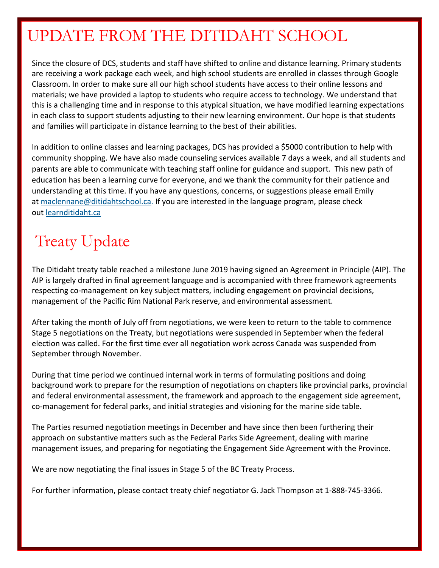# UPDATE FROM THE DITIDAHT SCHOOL

Since the closure of DCS, students and staff have shifted to online and distance learning. Primary students are receiving a work package each week, and high school students are enrolled in classes through Google Classroom. In order to make sure all our high school students have access to their online lessons and materials; we have provided a laptop to students who require access to technology. We understand that this is a challenging time and in response to this atypical situation, we have modified learning expectations in each class to support students adjusting to their new learning environment. Our hope is that students and families will participate in distance learning to the best of their abilities.

In addition to online classes and learning packages, DCS has provided a \$5000 contribution to help with community shopping. We have also made counseling services available 7 days a week, and all students and parents are able to communicate with teaching staff online for guidance and support. This new path of education has been a learning curve for everyone, and we thank the community for their patience and understanding at this time. If you have any questions, concerns, or suggestions please email Emily at maclennane@ditidahtschool.ca. If you are interested in the language program, please check out learnditidaht.ca

# Treaty Update

The Ditidaht treaty table reached a milestone June 2019 having signed an Agreement in Principle (AIP). The AIP is largely drafted in final agreement language and is accompanied with three framework agreements respecting co-management on key subject matters, including engagement on provincial decisions, management of the Pacific Rim National Park reserve, and environmental assessment.

After taking the month of July off from negotiations, we were keen to return to the table to commence Stage 5 negotiations on the Treaty, but negotiations were suspended in September when the federal election was called. For the first time ever all negotiation work across Canada was suspended from September through November.

During that time period we continued internal work in terms of formulating positions and doing background work to prepare for the resumption of negotiations on chapters like provincial parks, provincial and federal environmental assessment, the framework and approach to the engagement side agreement, co-management for federal parks, and initial strategies and visioning for the marine side table.

The Parties resumed negotiation meetings in December and have since then been furthering their approach on substantive matters such as the Federal Parks Side Agreement, dealing with marine management issues, and preparing for negotiating the Engagement Side Agreement with the Province.

We are now negotiating the final issues in Stage 5 of the BC Treaty Process.

For further information, please contact treaty chief negotiator G. Jack Thompson at 1-888-745-3366.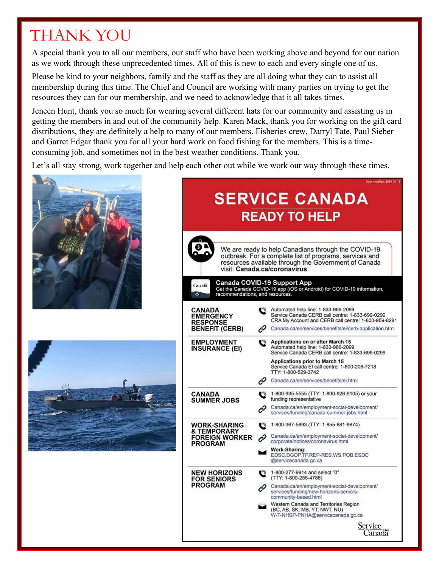# THANK YOU

A special thank you to all our members, our staff who have been working above and beyond for our nation as we work through these unprecedented times. All of this is new to each and every single one of us.

Please be kind to your neighbors, family and the staff as they are all doing what they can to assist all membership during this time. The Chief and Council are working with many parties on trying to get the resources they can for our membership, and we need to acknowledge that it all takes times.

Jeneen Hunt, thank you so much for wearing several different hats for our community and assisting us in getting the members in and out of the community help. Karen Mack, thank you for working on the gift card distributions, they are definitely a help to many of our members. Fisheries crew, Darryl Tate, Paul Sieber and Garret Edgar thank you for all your hard work on food fishing for the members. This is a timeconsuming job, and sometimes not in the best weather conditions. Thank you.

Let's all stay strong, work together and help each other out while we work our way through these times.





|                                                                                                                                                         | Date modified: 2020-04-15                                                                                                                                                                                          |
|---------------------------------------------------------------------------------------------------------------------------------------------------------|--------------------------------------------------------------------------------------------------------------------------------------------------------------------------------------------------------------------|
| <b>SERVICE CANADA</b>                                                                                                                                   |                                                                                                                                                                                                                    |
| <b>READY TO HELP</b>                                                                                                                                    |                                                                                                                                                                                                                    |
|                                                                                                                                                         |                                                                                                                                                                                                                    |
|                                                                                                                                                         | We are ready to help Canadians through the COVID-19<br>outbreak. For a complete list of programs, services and<br>resources available through the Government of Canada<br>visit: Canada.ca/coronavirus             |
| Canada COVID-19 Support App<br>Canada<br>Get the Canada COVID-19 app (iOS or Android) for COVID-19 information,<br>recommendations, and resources.<br>ङ |                                                                                                                                                                                                                    |
| <b>CANADA</b><br><b>EMERGENCY</b><br><b>RESPONSE</b><br><b>BENEFIT (CERB)</b>                                                                           | Automated help line: 1-833-966-2099<br>Q<br>Service Canada CERB call centre: 1-833-699-0299<br>CRA My Account and CERB call centre: 1-800-959-8281<br>c<br>Canada.ca/en/services/benefits/ei/cerb-application.html |
| <b>EMPLOYMENT</b><br><b>INSURANCE (EI)</b>                                                                                                              | <b>Applications on or after March 15</b><br>o<br>Automated help line: 1-833-966-2099<br>Service Canada CERB call centre: 1-833-699-0299                                                                            |
|                                                                                                                                                         | Applications prior to March 15<br>Service Canada EI call centre: 1-800-206-7218<br>TTY: 1-800-529-3742                                                                                                             |
|                                                                                                                                                         | c<br>Canada.ca/en/services/benefits/ei.html                                                                                                                                                                        |
| <b>CANADA</b><br><b>SUMMER JOBS</b>                                                                                                                     | 1-800-935-5555 (TTY: 1-800-926-9105) or your<br>o<br>funding representative                                                                                                                                        |
|                                                                                                                                                         | Canada.ca/en/employment-social-development/<br>ĉ<br>services/funding/canada-summer-jobs.html                                                                                                                       |
| WORK-SHARING<br>& TEMPORARY                                                                                                                             | 1-800-367-5693 (TTY: 1-855-881-9874)<br>Q                                                                                                                                                                          |
| <b>FOREIGN WORKER</b><br><b>PROGRAM</b>                                                                                                                 | Canada.ca/en/employment-social-development/<br>c<br>corporate/notices/coronavirus.html                                                                                                                             |
|                                                                                                                                                         | Work-Sharing:<br>EDSC.DGOP.TP.REP-RES.WS.POB.ESDC<br>@servicecanada.gc.ca                                                                                                                                          |
| <b>NEW HORIZONS</b><br><b>FOR SENIORS</b><br><b>PROGRAM</b>                                                                                             | 1-800-277-9914 and select "0"<br>$\mathbf{C}$<br>(TTY: 1-800-255-4786)                                                                                                                                             |
|                                                                                                                                                         | Canada.ca/en/employment-social-development/<br>services/funding/new-horizons-seniors-<br>community-based.html                                                                                                      |
|                                                                                                                                                         | Western Canada and Territories Region<br>(BC, AB, SK, MB, YT, NWT, NU)<br>W-T-NHSP-PNHA@servicecanada.gc.ca                                                                                                        |
|                                                                                                                                                         | Service<br>Canadä                                                                                                                                                                                                  |